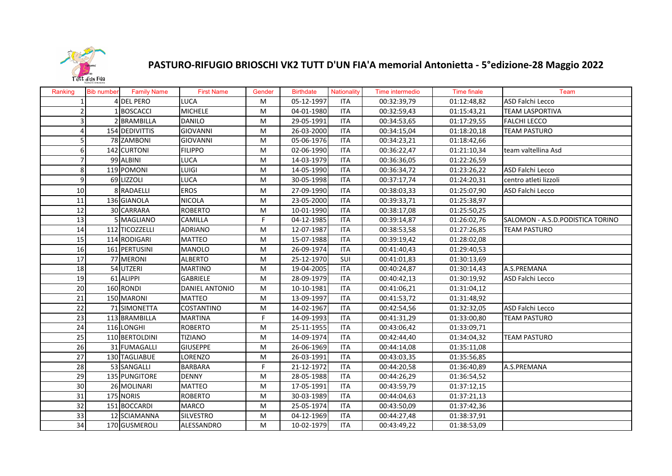

## **PASTURO‐RIFUGIO BRIOSCHI VK2 TUTT D'UN FIA'A memorial Antonietta ‐ 5°edizione‐28 Maggio 2022**

| Ranking         | <b>Bib number</b> | <b>Family Name</b>  | <b>First Name</b>     | Gender | <b>Birthdate</b> | Nationality | Time intermedio | <b>Time finale</b> | Team                             |
|-----------------|-------------------|---------------------|-----------------------|--------|------------------|-------------|-----------------|--------------------|----------------------------------|
|                 |                   | 4 DEL PERO          | LUCA                  | M      | 05-12-1997       | <b>ITA</b>  | 00:32:39,79     | 01:12:48,82        | ASD Falchi Lecco                 |
|                 |                   | 1 BOSCACCI          | <b>MICHELE</b>        | M      | 04-01-1980       | ITA         | 00:32:59,43     | 01:15:43,21        | <b>TEAM LASPORTIVA</b>           |
|                 |                   | 2 BRAMBILLA         | <b>DANILO</b>         | M      | 29-05-1991       | <b>ITA</b>  | 00:34:53,65     | 01:17:29,55        | <b>FALCHI LECCO</b>              |
|                 |                   | 154 DEDIVITTIS      | <b>GIOVANNI</b>       | M      | 26-03-2000       | <b>ITA</b>  | 00:34:15,04     | 01:18:20,18        | <b>TEAM PASTURO</b>              |
|                 |                   | 78 ZAMBONI          | <b>GIOVANNI</b>       | M      | 05-06-1976       | <b>ITA</b>  | 00:34:23,21     | 01:18:42,66        |                                  |
|                 |                   | 142 CURTONI         | <b>FILIPPO</b>        | M      | 02-06-1990       | <b>ITA</b>  | 00:36:22,47     | 01:21:10,34        | team valtellina Asd              |
|                 |                   | 99 ALBINI           | <b>LUCA</b>           | M      | 14-03-1979       | <b>ITA</b>  | 00:36:36,05     | 01:22:26,59        |                                  |
| 8               |                   | 119 POMONI          | LUIGI                 | М      | 14-05-1990       | <b>ITA</b>  | 00:36:34,72     | 01:23:26,22        | ASD Falchi Lecco                 |
| 9               |                   | 69 LIZZOLI          | LUCA                  | M      | 30-05-1998       | <b>ITA</b>  | 00:37:17,74     | 01:24:20,31        | centro atleti lizzoli            |
| 10              |                   | 8 RADAELLI          | <b>EROS</b>           | M      | 27-09-1990       | <b>ITA</b>  | 00:38:03,33     | 01:25:07,90        | ASD Falchi Lecco                 |
| $\overline{11}$ |                   | 136 GIANOLA         | <b>NICOLA</b>         | M      | 23-05-2000       | <b>ITA</b>  | 00:39:33,71     | 01:25:38,97        |                                  |
| 12              |                   | 30 CARRARA          | <b>ROBERTO</b>        | M      | 10-01-1990       | <b>ITA</b>  | 00:38:17,08     | 01:25:50,25        |                                  |
| 13              |                   | 5 MAGLIANO          | CAMILLA               | F      | 04-12-1985       | <b>ITA</b>  | 00:39:14,87     | 01:26:02,76        | SALOMON - A.S.D.PODISTICA TORINO |
| 14              |                   | 112 TICOZZELLI      | <b>ADRIANO</b>        | M      | 12-07-1987       | <b>ITA</b>  | 00:38:53,58     | 01:27:26,85        | <b>TEAM PASTURO</b>              |
| 15              |                   | 114 RODIGARI        | <b>MATTEO</b>         | M      | 15-07-1988       | <b>ITA</b>  | 00:39:19,42     | 01:28:02,08        |                                  |
| 16              |                   | 161 PERTUSINI       | <b>MANOLO</b>         | M      | 26-09-1974       | <b>ITA</b>  | 00:41:40,43     | 01:29:40,53        |                                  |
| 17              |                   | 77 MERONI           | <b>ALBERTO</b>        | M      | 25-12-1970       | SUI         | 00:41:01,83     | 01:30:13,69        |                                  |
| 18              |                   | 54 UTZERI           | <b>MARTINO</b>        | M      | 19-04-2005       | ITA         | 00:40:24,87     | 01:30:14,43        | A.S.PREMANA                      |
| 19              |                   | 61 ALIPPI           | <b>GABRIELE</b>       | M      | 28-09-1979       | <b>ITA</b>  | 00:40:42,13     | 01:30:19,92        | ASD Falchi Lecco                 |
| 20              |                   | 160 RONDI           | <b>DANIEL ANTONIO</b> | M      | 10-10-1981       | <b>ITA</b>  | 00:41:06,21     | 01:31:04,12        |                                  |
| 21              |                   | 150 MARONI          | <b>MATTEO</b>         | M      | 13-09-1997       | <b>ITA</b>  | 00:41:53,72     | 01:31:48,92        |                                  |
| 22              |                   | <b>71 SIMONETTA</b> | <b>COSTANTINO</b>     | M      | 14-02-1967       | <b>ITA</b>  | 00:42:54,56     | 01:32:32,05        | <b>ASD Falchi Lecco</b>          |
| 23              |                   | 113 BRAMBILLA       | <b>MARTINA</b>        | F.     | 14-09-1993       | <b>ITA</b>  | 00:41:31,29     | 01:33:00,80        | <b>TEAM PASTURO</b>              |
| 24              |                   | 116 LONGHI          | <b>ROBERTO</b>        | М      | 25-11-1955       | <b>ITA</b>  | 00:43:06,42     | 01:33:09,71        |                                  |
| 25              |                   | 110 BERTOLDINI      | <b>TIZIANO</b>        | M      | 14-09-1974       | <b>ITA</b>  | 00:42:44,40     | 01:34:04,32        | <b>TEAM PASTURO</b>              |
| 26              |                   | 31 FUMAGALLI        | <b>GIUSEPPE</b>       | M      | 26-06-1969       | <b>ITA</b>  | 00:44:14,08     | 01:35:11,08        |                                  |
| 27              |                   | 130 TAGLIABUE       | LORENZO               | M      | 26-03-1991       | <b>ITA</b>  | 00:43:03,35     | 01:35:56,85        |                                  |
| 28              |                   | 53 SANGALLI         | <b>BARBARA</b>        | F      | 21-12-1972       | <b>ITA</b>  | 00:44:20,58     | 01:36:40,89        | A.S.PREMANA                      |
| 29              |                   | 135 PUNGITORE       | <b>DENNY</b>          | M      | 28-05-1988       | <b>ITA</b>  | 00:44:26,29     | 01:36:54,52        |                                  |
| 30              |                   | 26 MOLINARI         | <b>MATTEO</b>         | M      | 17-05-1991       | <b>ITA</b>  | 00:43:59,79     | 01:37:12,15        |                                  |
| 31              |                   | 175 NORIS           | <b>ROBERTO</b>        | М      | 30-03-1989       | <b>ITA</b>  | 00:44:04,63     | 01:37:21,13        |                                  |
| 32              |                   | 151 BOCCARDI        | <b>MARCO</b>          | М      | 25-05-1974       | <b>ITA</b>  | 00:43:50,09     | 01:37:42,36        |                                  |
| 33              |                   | 12 SCIAMANNA        | <b>SILVESTRO</b>      | M      | 04-12-1969       | ITA         | 00:44:27,48     | 01:38:37,91        |                                  |
| 34              |                   | 170 GUSMEROLI       | ALESSANDRO            | M      | 10-02-1979       | <b>ITA</b>  | 00:43:49,22     | 01:38:53,09        |                                  |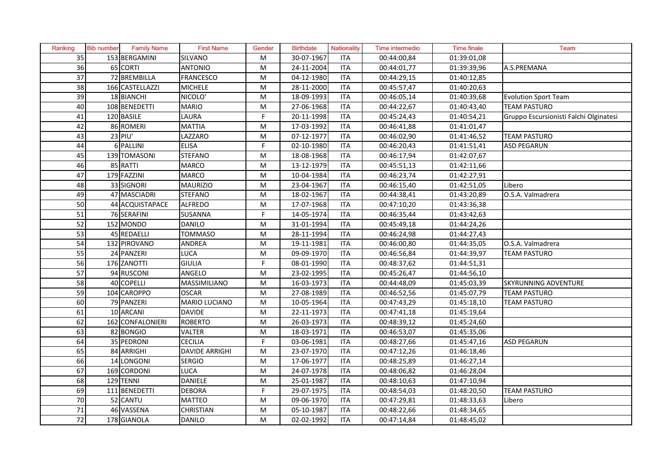| Ranking         | <b>Bib number</b> | <b>Family Name</b> | <b>First Name</b>     | Gender                  | <b>Birthdate</b> | Nationality | Time intermedio | <b>Time finale</b> | Team                                   |
|-----------------|-------------------|--------------------|-----------------------|-------------------------|------------------|-------------|-----------------|--------------------|----------------------------------------|
| 35              |                   | 153 BERGAMINI      | <b>SILVANO</b>        | M                       | 30-07-1967       | <b>ITA</b>  | 00:44:00,84     | 01:39:01,08        |                                        |
| 36              |                   | 65 CORTI           | <b>ANTONIO</b>        | M                       | 24-11-2004       | <b>ITA</b>  | 00:44:01,77     | 01:39:39,96        | A.S.PREMANA                            |
| 37              |                   | 72 BREMBILLA       | <b>FRANCESCO</b>      | M                       | 04-12-1980       | <b>ITA</b>  | 00:44:29,15     | 01:40:12,85        |                                        |
| 38              |                   | 166 CASTELLAZZI    | <b>MICHELE</b>        | M                       | 28-11-2000       | <b>ITA</b>  | 00:45:57,47     | 01:40:20,63        |                                        |
| 39              |                   | 18 BIANCHI         | NICOLO'               | M                       | 18-09-1993       | <b>ITA</b>  | 00:46:05,14     | 01:40:39,68        | <b>Evolution Sport Team</b>            |
| 40              |                   | 108 BENEDETTI      | <b>MARIO</b>          | ${\sf M}$               | 27-06-1968       | <b>ITA</b>  | 00:44:22,67     | 01:40:43,40        | <b>TEAM PASTURO</b>                    |
| 41              |                   | 120 BASILE         | LAURA                 | F                       | 20-11-1998       | <b>ITA</b>  | 00:45:24,43     | 01:40:54,21        | Gruppo Escursionisti Falchi Olginatesi |
| 42              |                   | 86 ROMERI          | <b>MATTIA</b>         | M                       | 17-03-1992       | <b>ITA</b>  | 00:46:41,88     | 01:41:01,47        |                                        |
| 43              |                   | $23$ PIU'          | LAZZARO               | M                       | 07-12-1977       | <b>ITA</b>  | 00:46:02,90     | 01:41:46,52        | <b>TEAM PASTURO</b>                    |
| 44              |                   | 6 PALLINI          | <b>ELISA</b>          | F                       | 02-10-1980       | <b>ITA</b>  | 00:46:20,43     | 01:41:51,41        | <b>ASD PEGARUN</b>                     |
| 45              |                   | 139 TOMASONI       | <b>STEFANO</b>        | M                       | 18-08-1968       | <b>ITA</b>  | 00:46:17,94     | 01:42:07,67        |                                        |
| 46              |                   | 85 RATTI           | <b>MARCO</b>          | ${\sf M}$               | 13-12-1979       | <b>ITA</b>  | 00:45:51,13     | 01:42:11,66        |                                        |
| 47              |                   | 179 FAZZINI        | <b>MARCO</b>          | ${\sf M}$               | 10-04-1984       | <b>ITA</b>  | 00:46:23,74     | 01:42:27,91        |                                        |
| 48              |                   | 33 SIGNORI         | <b>MAURIZIO</b>       | ${\sf M}$               | 23-04-1967       | <b>ITA</b>  | 00:46:15,40     | 01:42:51,05        | Libero                                 |
| 49              |                   | 47 MASCIADRI       | <b>STEFANO</b>        | ${\sf M}$               | 18-02-1967       | <b>ITA</b>  | 00:44:38,41     | 01:43:20,89        | O.S.A. Valmadrera                      |
| 50              |                   | 44 ACQUISTAPACE    | <b>ALFREDO</b>        | ${\sf M}$               | 17-07-1968       | <b>ITA</b>  | 00:47:10,20     | 01:43:36,38        |                                        |
| 51              |                   | 76 SERAFINI        | SUSANNA               | $\mathsf F$             | 14-05-1974       | <b>ITA</b>  | 00:46:35,44     | 01:43:42,63        |                                        |
| 52              |                   | 152 MONDO          | <b>DANILO</b>         | ${\sf M}$               | 31-01-1994       | <b>ITA</b>  | 00:45:49,18     | 01:44:24,26        |                                        |
| 53              |                   | 45 REDAELLI        | <b>TOMMASO</b>        | ${\sf M}$               | 28-11-1994       | <b>ITA</b>  | 00:46:24,98     | 01:44:27,43        |                                        |
| 54              |                   | 132 PIROVANO       | ANDREA                | ${\sf M}$               | 19-11-1981       | <b>ITA</b>  | 00:46:00,80     | 01:44:35,05        | O.S.A. Valmadrera                      |
| 55              |                   | 24 PANZERI         | <b>LUCA</b>           | ${\sf M}$               | 09-09-1970       | <b>ITA</b>  | 00:46:56,84     | 01:44:39,97        | TEAM PASTURO                           |
| 56              |                   | 176 ZANOTTI        | <b>GIULIA</b>         | F                       | 08-01-1990       | <b>ITA</b>  | 00:48:37,62     | 01:44:51,31        |                                        |
| 57              |                   | 94 RUSCONI         | ANGELO                | ${\sf M}$               | 23-02-1995       | <b>ITA</b>  | 00:45:26,47     | 01:44:56,10        |                                        |
| 58              |                   | 40 COPELLI         | MASSIMILIANO          | ${\sf M}$               | 16-03-1973       | <b>ITA</b>  | 00:44:48,09     | 01:45:03,39        | SKYRUNNING ADVENTURE                   |
| 59              |                   | 104 CAROPPO        | <b>OSCAR</b>          | M                       | 27-08-1989       | <b>ITA</b>  | 00:46:52,56     | 01:45:07,79        | <b>TEAM PASTURO</b>                    |
| 60              |                   | 79 PANZERI         | <b>MARIO LUCIANO</b>  | ${\sf M}$               | 10-05-1964       | ITA         | 00:47:43,29     | 01:45:18,10        | <b>TEAM PASTURO</b>                    |
| 61              |                   | 10 ARCANI          | <b>DAVIDE</b>         | M                       | 22-11-1973       | <b>ITA</b>  | 00:47:41,18     | 01:45:19,64        |                                        |
| 62              |                   | 162 CONFALONIERI   | <b>ROBERTO</b>        | $\overline{\mathsf{M}}$ | 26-03-1973       | <b>ITA</b>  | 00:48:39,12     | 01:45:24,60        |                                        |
| 63              |                   | 82 BONGIO          | <b>VALTER</b>         | M                       | 18-03-1971       | <b>ITA</b>  | 00:46:53,07     | 01:45:35,06        |                                        |
| 64              |                   | 35 PEDRONI         | <b>CECILIA</b>        | F                       | 03-06-1981       | <b>ITA</b>  | 00:48:27,66     | 01:45:47,16        | <b>ASD PEGARUN</b>                     |
| 65              |                   | 84 ARRIGHI         | <b>DAVIDE ARRIGHI</b> | ${\sf M}$               | 23-07-1970       | <b>ITA</b>  | 00:47:12,26     | 01:46:18,46        |                                        |
| 66              |                   | 14 LONGONI         | <b>SERGIO</b>         | ${\sf M}$               | 17-06-1977       | ITA         | 00:48:25,89     | 01:46:27,14        |                                        |
| 67              |                   | 169 CORDONI        | <b>LUCA</b>           | M                       | 24-07-1978       | ITA         | 00:48:06,82     | 01:46:28,04        |                                        |
| $\overline{68}$ |                   | 129 TENNI          | <b>DANIELE</b>        | ${\sf M}$               | 25-01-1987       | <b>ITA</b>  | 00:48:10,63     | 01:47:10,94        |                                        |
| 69              |                   | 111 BENEDETTI      | <b>DEBORA</b>         | F                       | 29-07-1975       | <b>ITA</b>  | 00:48:54,03     | 01:48:20,50        | TEAM PASTURO                           |
| 70              |                   | 52 CANTU           | <b>MATTEO</b>         | M                       | 09-06-1970       | <b>ITA</b>  | 00:47:29,81     | 01:48:33,63        | Libero                                 |
| 71              |                   | 46 VASSENA         | <b>CHRISTIAN</b>      | M                       | 05-10-1987       | ITA         | 00:48:22,66     | 01:48:34,65        |                                        |
| 72              |                   | 178 GIANOLA        | <b>DANILO</b>         | M                       | 02-02-1992       | <b>ITA</b>  | 00:47:14,84     | 01:48:45,02        |                                        |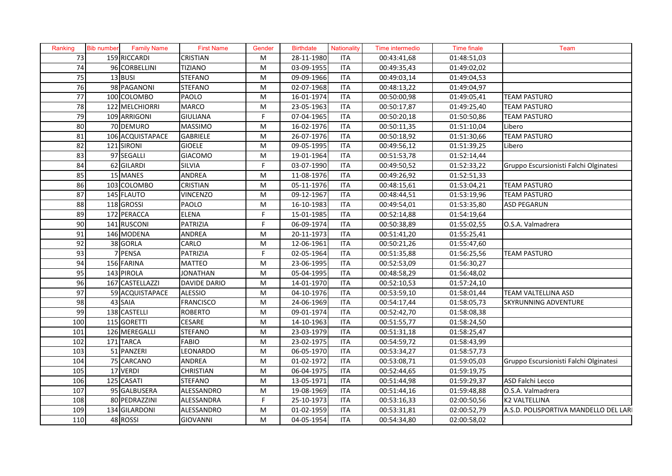| Ranking         | <b>Bib number</b> | <b>Family Name</b> | <b>First Name</b>   | Gender                  | <b>Birthdate</b> | Nationality | Time intermedio | <b>Time finale</b> | Team                                   |
|-----------------|-------------------|--------------------|---------------------|-------------------------|------------------|-------------|-----------------|--------------------|----------------------------------------|
| 73              |                   | 159 RICCARDI       | <b>CRISTIAN</b>     | M                       | 28-11-1980       | <b>ITA</b>  | 00:43:41,68     | 01:48:51,03        |                                        |
| 74              |                   | 96 CORBELLINI      | <b>TIZIANO</b>      | ${\sf M}$               | $03 - 09 - 1955$ | <b>ITA</b>  | 00:49:35,43     | 01:49:02,02        |                                        |
| 75              |                   | $13$ BUSI          | <b>STEFANO</b>      | ${\sf M}$               | 09-09-1966       | <b>ITA</b>  | 00:49:03,14     | 01:49:04,53        |                                        |
| 76              |                   | 98 PAGANONI        | <b>STEFANO</b>      | ${\sf M}$               | 02-07-1968       | <b>ITA</b>  | 00:48:13,22     | 01:49:04,97        |                                        |
| 77              |                   | 100 COLOMBO        | <b>PAOLO</b>        | ${\sf M}$               | 16-01-1974       | <b>ITA</b>  | 00:50:00,98     | 01:49:05,41        | <b>TEAM PASTURO</b>                    |
| 78              |                   | 122 MELCHIORRI     | <b>MARCO</b>        | ${\sf M}$               | 23-05-1963       | <b>ITA</b>  | 00:50:17,87     | 01:49:25,40        | <b>TEAM PASTURO</b>                    |
| 79              |                   | 109 ARRIGONI       | <b>GIULIANA</b>     | F                       | 07-04-1965       | <b>ITA</b>  | 00:50:20,18     | 01:50:50,86        | <b>TEAM PASTURO</b>                    |
| 80              |                   | 70 DEMURO          | <b>MASSIMO</b>      | ${\sf M}$               | 16-02-1976       | <b>ITA</b>  | 00:50:11,35     | 01:51:10,04        | Libero                                 |
| 81              |                   | 106 ACQUISTAPACE   | <b>GABRIELE</b>     | ${\sf M}$               | 26-07-1976       | ITA         | 00:50:18,92     | 01:51:30,66        | <b>TEAM PASTURO</b>                    |
| 82              |                   | 121 SIRONI         | <b>GIOELE</b>       | ${\sf M}$               | 09-05-1995       | <b>ITA</b>  | 00:49:56,12     | 01:51:39,25        | Libero                                 |
| 83              |                   | 97 SEGALLI         | <b>GIACOMO</b>      | $\overline{\mathsf{M}}$ | 19-01-1964       | ITA         | 00:51:53,78     | 01:52:14,44        |                                        |
| 84              |                   | 62 GILARDI         | <b>SILVIA</b>       | F                       | 03-07-1990       | <b>ITA</b>  | 00:49:50,52     | 01:52:33,22        | Gruppo Escursionisti Falchi Olginatesi |
| 85              |                   | 15 MANES           | <b>ANDREA</b>       | ${\sf M}$               | 11-08-1976       | <b>ITA</b>  | 00:49:26,92     | 01:52:51,33        |                                        |
| 86              |                   | 103 COLOMBO        | <b>CRISTIAN</b>     | M                       | 05-11-1976       | <b>ITA</b>  | 00:48:15,61     | 01:53:04,21        | <b>TEAM PASTURO</b>                    |
| 87              |                   | 145 FLAUTO         | <b>VINCENZO</b>     | ${\sf M}$               | 09-12-1967       | <b>ITA</b>  | 00:48:44,51     | 01:53:19,96        | <b>TEAM PASTURO</b>                    |
| 88              |                   | 118 GROSSI         | <b>PAOLO</b>        | ${\sf M}$               | 16-10-1983       | <b>ITA</b>  | 00:49:54,01     | 01:53:35,80        | <b>ASD PEGARUN</b>                     |
| 89              |                   | 172 PERACCA        | <b>ELENA</b>        | F                       | 15-01-1985       | <b>ITA</b>  | 00:52:14,88     | 01:54:19,64        |                                        |
| 90              |                   | 141 RUSCONI        | <b>PATRIZIA</b>     | F                       | 06-09-1974       | <b>ITA</b>  | 00:50:38,89     | 01:55:02,55        | O.S.A. Valmadrera                      |
| $\overline{91}$ |                   | 146 MODENA         | <b>ANDREA</b>       | ${\sf M}$               | 20-11-1973       | <b>ITA</b>  | 00:51:41,20     | 01:55:25,41        |                                        |
| 92              |                   | 38 GORLA           | CARLO               | ${\sf M}$               | 12-06-1961       | <b>ITA</b>  | 00:50:21,26     | 01:55:47,60        |                                        |
| 93              |                   | 7 PENSA            | <b>PATRIZIA</b>     | F                       | 02-05-1964       | <b>ITA</b>  | 00:51:35,88     | 01:56:25,56        | <b>TEAM PASTURO</b>                    |
| 94              |                   | 156 FARINA         | <b>MATTEO</b>       | ${\sf M}$               | 23-06-1995       | <b>ITA</b>  | 00:52:53,09     | 01:56:30,27        |                                        |
| 95              |                   | 143 PIROLA         | <b>JONATHAN</b>     | ${\sf M}$               | 05-04-1995       | <b>ITA</b>  | 00:48:58,29     | 01:56:48,02        |                                        |
| 96              |                   | 167 CASTELLAZZI    | <b>DAVIDE DARIO</b> | ${\sf M}$               | 14-01-1970       | <b>ITA</b>  | 00:52:10,53     | 01:57:24,10        |                                        |
| 97              |                   | 59 ACQUISTAPACE    | <b>ALESSIO</b>      | ${\sf M}$               | 04-10-1976       | <b>ITA</b>  | 00:53:59,10     | 01:58:01,44        | TEAM VALTELLINA ASD                    |
| 98              |                   | 43 SAIA            | <b>FRANCISCO</b>    | ${\sf M}$               | 24-06-1969       | <b>ITA</b>  | 00:54:17,44     | 01:58:05,73        | <b>SKYRUNNING ADVENTURE</b>            |
| 99              |                   | 138 CASTELLI       | <b>ROBERTO</b>      | ${\sf M}$               | 09-01-1974       | <b>ITA</b>  | 00:52:42,70     | 01:58:08,38        |                                        |
| 100             |                   | 115 GORETTI        | <b>CESARE</b>       | ${\sf M}$               | 14-10-1963       | <b>ITA</b>  | 00:51:55,77     | 01:58:24,50        |                                        |
| 101             |                   | 126 MEREGALLI      | <b>STEFANO</b>      | ${\sf M}$               | 23-03-1979       | <b>ITA</b>  | 00:51:31,18     | 01:58:25,47        |                                        |
| 102             |                   | 171 TARCA          | <b>FABIO</b>        | ${\sf M}$               | 23-02-1975       | <b>ITA</b>  | 00:54:59,72     | 01:58:43,99        |                                        |
| 103             |                   | 51 PANZERI         | LEONARDO            | ${\sf M}$               | 06-05-1970       | <b>ITA</b>  | 00:53:34,27     | 01:58:57,73        |                                        |
| 104             |                   | 75 CARCANO         | <b>ANDREA</b>       | ${\sf M}$               | 01-02-1972       | <b>ITA</b>  | 00:53:08,71     | 01:59:05,03        | Gruppo Escursionisti Falchi Olginatesi |
| 105             |                   | 17 VERDI           | <b>CHRISTIAN</b>    | ${\sf M}$               | 06-04-1975       | <b>ITA</b>  | 00:52:44,65     | 01:59:19,75        |                                        |
| 106             |                   | 125 CASATI         | <b>STEFANO</b>      | ${\sf M}$               | 13-05-1971       | <b>ITA</b>  | 00:51:44,98     | 01:59:29,37        | ASD Falchi Lecco                       |
| 107             |                   | 95 GALBUSERA       | ALESSANDRO          | ${\sf M}$               | 19-08-1969       | <b>ITA</b>  | 00:51:44,16     | 01:59:48,88        | O.S.A. Valmadrera                      |
| 108             |                   | 80 PEDRAZZINI      | ALESSANDRA          | F                       | 25-10-1973       | <b>ITA</b>  | 00:53:16,33     | 02:00:50,56        | <b>K2 VALTELLINA</b>                   |
| 109             |                   | 134 GILARDONI      | ALESSANDRO          | ${\sf M}$               | 01-02-1959       | <b>ITA</b>  | 00:53:31,81     | 02:00:52,79        | A.S.D. POLISPORTIVA MANDELLO DEL LARI  |
| 110             |                   | 48 ROSSI           | <b>GIOVANNI</b>     | M                       | 04-05-1954       | <b>ITA</b>  | 00:54:34,80     | 02:00:58,02        |                                        |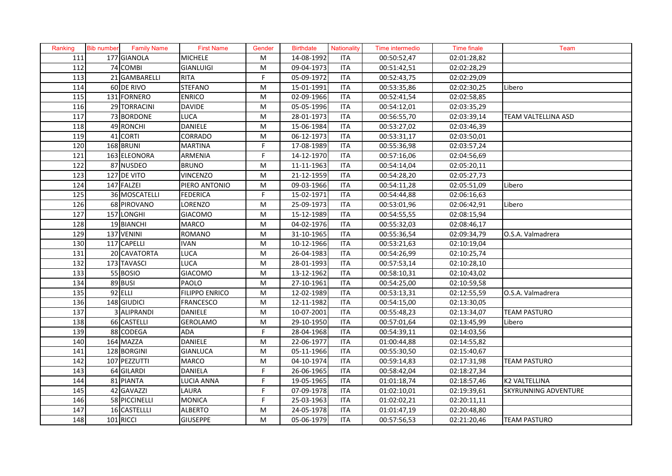| Ranking | <b>Bib number</b> | <b>Family Name</b> | <b>First Name</b>     | Gender                                                                                                     | <b>Birthdate</b> | <b>Nationality</b> | Time intermedio | <b>Time finale</b> | Team                 |
|---------|-------------------|--------------------|-----------------------|------------------------------------------------------------------------------------------------------------|------------------|--------------------|-----------------|--------------------|----------------------|
| 111     |                   | 177 GIANOLA        | <b>MICHELE</b>        | M                                                                                                          | 14-08-1992       | <b>ITA</b>         | 00:50:52,47     | 02:01:28,82        |                      |
| 112     |                   | 74 COMBI           | <b>GIANLUIGI</b>      | M                                                                                                          | 09-04-1973       | <b>ITA</b>         | 00:51:42,51     | 02:02:28,29        |                      |
| 113     |                   | 21 GAMBARELLI      | <b>RITA</b>           | F                                                                                                          | 05-09-1972       | <b>ITA</b>         | 00:52:43,75     | 02:02:29,09        |                      |
| 114     |                   | 60 DE RIVO         | <b>STEFANO</b>        | M                                                                                                          | 15-01-1991       | <b>ITA</b>         | 00:53:35,86     | 02:02:30,25        | Libero               |
| 115     |                   | 131 FORNERO        | <b>ENRICO</b>         | M                                                                                                          | 02-09-1966       | <b>ITA</b>         | 00:52:41,54     | 02:02:58,85        |                      |
| 116     |                   | 29 TORRACINI       | <b>DAVIDE</b>         | M                                                                                                          | 05-05-1996       | <b>ITA</b>         | 00:54:12,01     | 02:03:35,29        |                      |
| 117     |                   | 73 BORDONE         | <b>LUCA</b>           | M                                                                                                          | 28-01-1973       | <b>ITA</b>         | 00:56:55,70     | 02:03:39,14        | TEAM VALTELLINA ASD  |
| 118     |                   | 49 RONCHI          | <b>DANIELE</b>        | M                                                                                                          | 15-06-1984       | <b>ITA</b>         | 00:53:27,02     | 02:03:46,39        |                      |
| 119     | 41                | <b>CORTI</b>       | CORRADO               | M                                                                                                          | 06-12-1973       | <b>ITA</b>         | 00:53:31,17     | 02:03:50,01        |                      |
| 120     |                   | 168 BRUNI          | <b>MARTINA</b>        | F.                                                                                                         | 17-08-1989       | <b>ITA</b>         | 00:55:36,98     | 02:03:57,24        |                      |
| 121     |                   | 163 ELEONORA       | ARMENIA               | F                                                                                                          | 14-12-1970       | <b>ITA</b>         | 00:57:16,06     | 02:04:56,69        |                      |
| 122     |                   | 87 NUSDEO          | <b>BRUNO</b>          | ${\sf M}$                                                                                                  | 11-11-1963       | <b>ITA</b>         | 00:54:14,04     | 02:05:20,11        |                      |
| 123     |                   | $127$ DE VITO      | <b>VINCENZO</b>       | ${\sf M}$                                                                                                  | 21-12-1959       | <b>ITA</b>         | 00:54:28,20     | 02:05:27,73        |                      |
| 124     |                   | 147 FALZEI         | PIERO ANTONIO         | ${\sf M}$                                                                                                  | 09-03-1966       | <b>ITA</b>         | 00:54:11,28     | 02:05:51,09        | Libero               |
| 125     |                   | 36 MOSCATELLI      | <b>FEDERICA</b>       | F                                                                                                          | 15-02-1971       | <b>ITA</b>         | 00:54:44,88     | 02:06:16,63        |                      |
| 126     |                   | 68 PIROVANO        | LORENZO               | ${\sf M}$                                                                                                  | 25-09-1973       | <b>ITA</b>         | 00:53:01,96     | 02:06:42,91        | Libero               |
| 127     |                   | 157 LONGHI         | <b>GIACOMO</b>        | ${\sf M}$                                                                                                  | 15-12-1989       | <b>ITA</b>         | 00:54:55,55     | 02:08:15,94        |                      |
| 128     |                   | 19 BIANCHI         | <b>MARCO</b>          | $\mathsf{M}% _{T}=\mathsf{M}_{T}\!\left( a,b\right) ,\ \mathsf{M}_{T}=\mathsf{M}_{T}\!\left( a,b\right) ,$ | 04-02-1976       | <b>ITA</b>         | 00:55:32,03     | 02:08:46,17        |                      |
| 129     |                   | 137 VENINI         | <b>ROMANO</b>         | ${\sf M}$                                                                                                  | 31-10-1965       | <b>ITA</b>         | 00:55:36,54     | 02:09:34,79        | O.S.A. Valmadrera    |
| 130     |                   | 117 CAPELLI        | <b>IVAN</b>           | ${\sf M}$                                                                                                  | 10-12-1966       | <b>ITA</b>         | 00:53:21,63     | 02:10:19,04        |                      |
| 131     |                   | 20 CAVATORTA       | <b>LUCA</b>           | ${\sf M}$                                                                                                  | 26-04-1983       | <b>ITA</b>         | 00:54:26,99     | 02:10:25,74        |                      |
| 132     |                   | 173 TAVASCI        | <b>LUCA</b>           | $\overline{\mathsf{M}}$                                                                                    | 28-01-1993       | <b>ITA</b>         | 00:57:53,14     | 02:10:28,10        |                      |
| 133     |                   | 55 BOSIO           | <b>GIACOMO</b>        | ${\sf M}$                                                                                                  | 13-12-1962       | <b>ITA</b>         | 00:58:10,31     | 02:10:43,02        |                      |
| 134     |                   | 89 BUSI            | <b>PAOLO</b>          | ${\sf M}$                                                                                                  | 27-10-1961       | <b>ITA</b>         | 00:54:25,00     | 02:10:59,58        |                      |
| 135     |                   | 92 ELLI            | <b>FILIPPO ENRICO</b> | M                                                                                                          | $12 - 02 - 1989$ | <b>ITA</b>         | 00:53:13,31     | 02:12:55,59        | O.S.A. Valmadrera    |
| 136     |                   | $148$ GIUDICI      | <b>FRANCESCO</b>      | ${\sf M}$                                                                                                  | 12-11-1982       | <b>ITA</b>         | 00:54:15,00     | 02:13:30,05        |                      |
| 137     |                   | 3 ALIPRANDI        | <b>DANIELE</b>        | M                                                                                                          | 10-07-2001       | <b>ITA</b>         | 00:55:48,23     | 02:13:34,07        | <b>TEAM PASTURO</b>  |
| 138     |                   | 66 CASTELLI        | <b>GEROLAMO</b>       | ${\sf M}$                                                                                                  | 29-10-1950       | <b>ITA</b>         | 00:57:01,64     | 02:13:45,99        | Libero               |
| 139     |                   | 88 CODEGA          | <b>ADA</b>            | F                                                                                                          | 28-04-1968       | <b>ITA</b>         | 00:54:39,11     | 02:14:03,56        |                      |
| 140     |                   | 164 MAZZA          | <b>DANIELE</b>        | M                                                                                                          | 22-06-1977       | <b>ITA</b>         | 01:00:44,88     | 02:14:55,82        |                      |
| 141     |                   | 128 BORGINI        | <b>GIANLUCA</b>       | M                                                                                                          | 05-11-1966       | <b>ITA</b>         | 00:55:30,50     | 02:15:40,67        |                      |
| 142     |                   | 107 PEZZUTTI       | <b>MARCO</b>          | ${\sf M}$                                                                                                  | 04-10-1974       | <b>ITA</b>         | 00:59:14,83     | 02:17:31,98        | <b>TEAM PASTURO</b>  |
| 143     |                   | 64 GILARDI         | <b>DANIELA</b>        | F                                                                                                          | 26-06-1965       | <b>ITA</b>         | 00:58:42,04     | 02:18:27,34        |                      |
| 144     |                   | 81 PIANTA          | LUCIA ANNA            | F                                                                                                          | 19-05-1965       | <b>ITA</b>         | 01:01:18,74     | 02:18:57,46        | <b>K2 VALTELLINA</b> |
| 145     |                   | 42 GAVAZZI         | LAURA                 | F                                                                                                          | 07-09-1978       | <b>ITA</b>         | 01:02:10,01     | 02:19:39,61        | SKYRUNNING ADVENTURE |
| 146     |                   | 58 PICCINELLI      | <b>MONICA</b>         | F                                                                                                          | 25-03-1963       | <b>ITA</b>         | 01:02:02,21     | 02:20:11,11        |                      |
| 147     |                   | 16 CASTELLLI       | <b>ALBERTO</b>        | M                                                                                                          | 24-05-1978       | <b>ITA</b>         | 01:01:47,19     | 02:20:48,80        |                      |
| 148     |                   | 101 RICCI          | <b>GIUSEPPE</b>       | M                                                                                                          | 05-06-1979       | <b>ITA</b>         | 00:57:56,53     | 02:21:20,46        | <b>TEAM PASTURO</b>  |